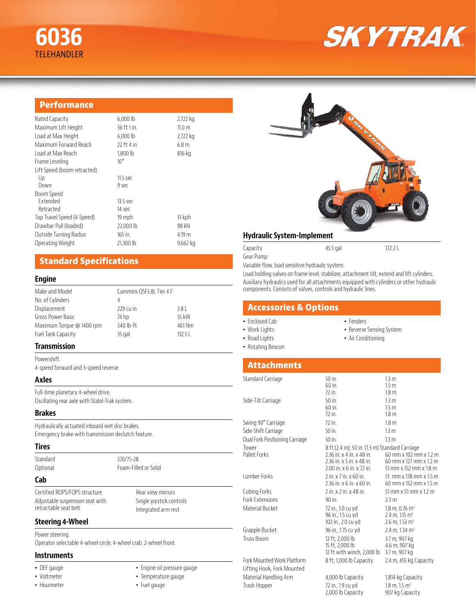# **SKYTRAK**

| <b>Performance</b>          |              |          |
|-----------------------------|--------------|----------|
| Rated Capacity              | 6,000 lb     | 2,722 kg |
| Maximum Lift Height         | 36 ft 1 in.  | 11.0 m   |
| Load at Max Height          | $6,000$ lb   | 2,722 kg |
| Maximum Forward Reach       | 22 ft 4 in.  | 6.8 m    |
| Load at Max Reach           | 1,800 lb     | 816 kg   |
| Frame Leveling              | $10^{\circ}$ |          |
| Lift Speed (boom retracted) |              |          |
| Up                          | $11.5$ sec   |          |
| Down                        | 9 sec        |          |
| Boom Speed                  |              |          |
| Extended                    | 13.5 sec     |          |
| Retracted                   | 14 sec       |          |
| Top Travel Speed (4-Speed)  | 19 mph       | 31 kph   |
| Drawbar Pull (loaded)       | 22,000 lb    | 98 kN    |
| Outside Turning Radius      | 165 in.      | 4.19 m   |

Operating Weight 21,300 lb 9,662 kg

## **Standard Specifications**

#### **Engine**

| Cummins QSF3.8L Tier 4 F |  |
|--------------------------|--|
|                          |  |
| 3.8                      |  |
| 55 kW                    |  |
| 461 Nm                   |  |
| 132.5                    |  |
|                          |  |

#### **Transmission**

Powershift. 4-speed forward and 3-speed reverse.

#### **Axles**

Full-time planetary 4-wheel drive. Oscillating rear axle with Stabil-Trak system.

#### **Brakes**

Hydraulically actuated inboard wet disc brakes. Emergency brake with transmission declutch feature.

#### **Tires**

Standard 370/75-28

Optional Foam-Filled or Solid

#### **Cab**

Certified ROPS/FOPS structure Adjustable suspension seat with retractable seat belt

Rear view mirrors Single joystick controls Integrated arm rest

#### **Steering 4-Wheel**

Power steering. Operator selectable 4-wheel circle, 4-wheel crab, 2-wheel front.

#### **Instruments**

- DEF gauge
- Voltmeter
- Hourmeter
- Engine oil pressure gauge • Temperature gauge
- Fuel gauge

#### **Hydraulic System-Implement**

Capacity 45.5 gal 172.2 L

Gear Pump Variable flow, load sensitive hydraulic system.

Load holding valves on frame level, stabilizer, attachment tilt, extend and lift cylinders. Auxiliary hydraulics used for all attachments equipped with cylinders or other hydraulic components. Consists of valves, controls and hydraulic lines.

### **Accessories & Options**

- Enclosed Cab
- Work Lights
- Road Lights
- Rotating Beacon
- Fenders
	- Reverse Sensing System
- Air Conditioning

# **Attachments**

| Standard Carriage              | 50 in.                                         | 1.3 <sub>m</sub>                      |
|--------------------------------|------------------------------------------------|---------------------------------------|
|                                | $60$ in.                                       | 1.5 <sub>m</sub>                      |
|                                | 72 in.                                         | 1.8 <sub>m</sub>                      |
| Side-Tilt Carriage             | $50$ in.                                       | 1.3 <sub>m</sub>                      |
|                                | $60$ in.                                       | 15 <sub>m</sub>                       |
|                                | $72$ in.                                       | 1.8 <sub>m</sub>                      |
| Swing 90° Carriage             | $72$ in.                                       | 1.8 <sub>m</sub>                      |
| Side-Shift Carriage            | $50$ in.                                       | 13 <sub>m</sub>                       |
| Dual Fork Positioning Carriage | $50$ in.                                       | 1.3 <sub>m</sub>                      |
| Tower                          | 8 ft (2.4 m); 50 in. (1.3 m) Standard Carriage |                                       |
| Pallet Forks                   | 2.36 in. x 4 in. x 48 in.                      | 60 mm x 102 mm x 1.2 m                |
|                                | 2.36 in. x 5 in. x 48 in.                      | 60 mm x 127 mm x 1.2 m                |
|                                | 2.00 in. x 6 in. x 72 in.                      | 51 mm x 152 mm x 1.8 m                |
| Lumber Forks                   | $2$ in $x$ $7$ in $x$ 60 in                    | 51 mm x 178 mm x 1.5 m                |
|                                | 2.36 in. x 6 in. x 60 in.                      | 60 mm x 152 mm x 1.5 m                |
| Cubing Forks                   | $2$ in $x$ $2$ in $x$ 48 in                    | 51 mm $\times$ 51 mm $\times$ 1.2 m   |
| <b>Fork Extensions</b>         | $90$ in.                                       | 2.3 m                                 |
| Material Bucket                | 72 in., 1.0 cu yd                              | $1.8 \text{ m}$ , 0.76 m <sup>3</sup> |
|                                | 96 in., 1.5 cu yd                              | 2.4 m, 1.15 m <sup>3</sup>            |
|                                | 102 in., 2.0 cu yd                             | $2.6$ m, 1.53 m <sup>3</sup>          |
| Grapple Bucket                 | 96 in., 1.75 cu yd                             | 2.4 m, 1.34 m <sup>3</sup>            |
| Truss Boom                     | 12 ft, 2,000 lb                                | 3.7 m, 907 kg                         |
|                                | 15 ft, 2,000 lb                                | 4.6 m. 907 kg                         |
|                                | 12 ft with winch, 2,000 lb                     | 3.7 m, 907 kg                         |
| Fork Mounted Work Platform     | 8 ft, 1,000 lb Capacity                        | 2.4 m, 455 kg Capacity                |
| Lifting Hook, Fork Mounted     |                                                |                                       |
| Material Handling Arm          | 4,000 lb Capacity                              | 1,814 kg Capacity                     |
| Trash Hopper                   | 72 in., 1.9 cu yd                              | $1.8 \text{ m}$ , $1.5 \text{ m}^3$   |
|                                | 2,000 lb Capacity                              | 907 kg Capacity                       |
|                                |                                                |                                       |